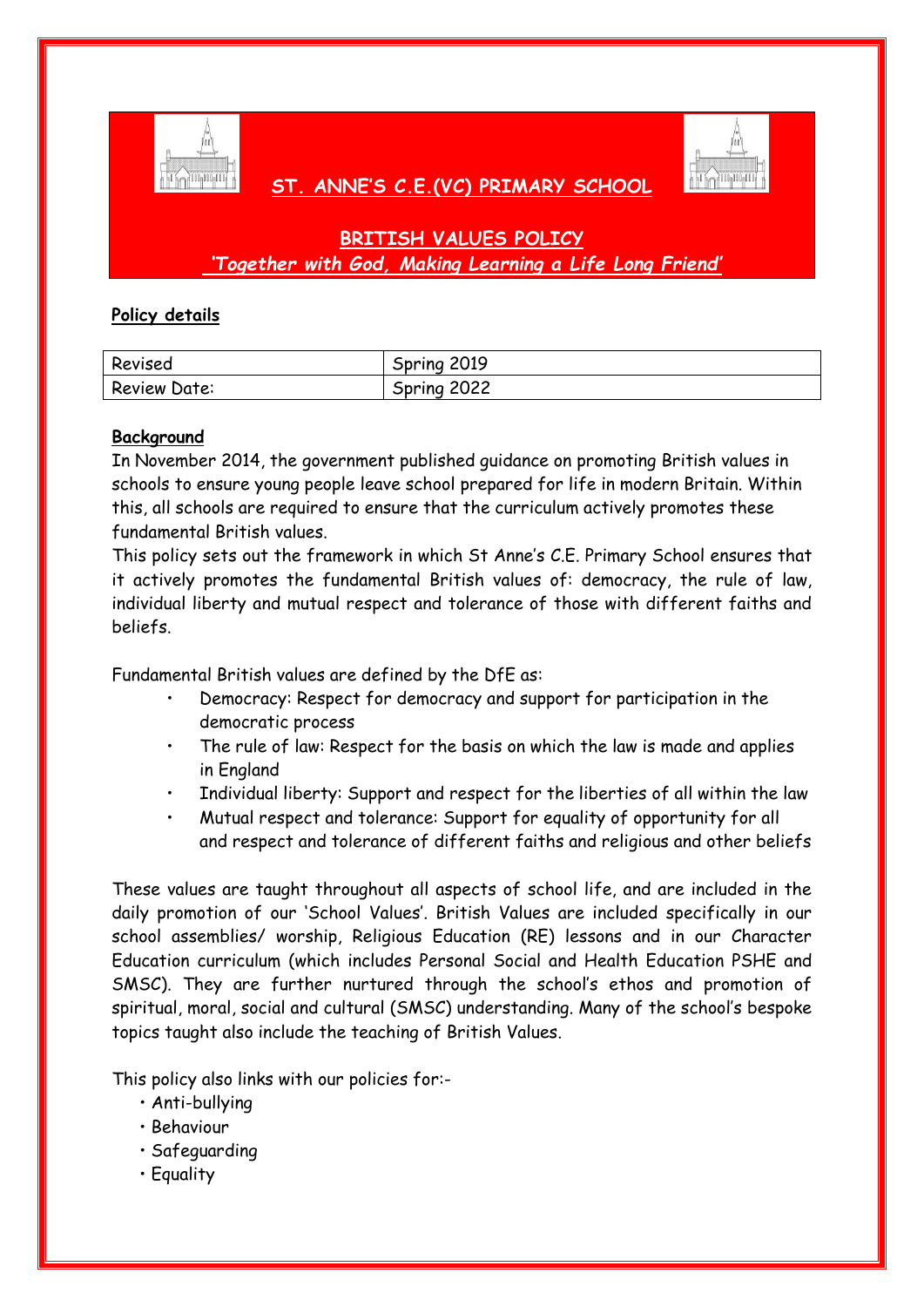

# **ST. ANNE'S C.E.(VC) PRIMARY SCHOOL**



# **BRITISH VALUES POLICY** *'Together with God, Making Learning a Life Long Friend'*

## **Policy details**

| Revised      | Spring 2019    |
|--------------|----------------|
| Review Date: | 2022<br>Spring |

### **Background**

In November 2014, the government published guidance on promoting British values in schools to ensure young people leave school prepared for life in modern Britain. Within this, all schools are required to ensure that the curriculum actively promotes these fundamental British values.

This policy sets out the framework in which St Anne's C.E. Primary School ensures that it actively promotes the fundamental British values of: democracy, the rule of law, individual liberty and mutual respect and tolerance of those with different faiths and beliefs.

Fundamental British values are defined by the DfE as:

- Democracy: Respect for democracy and support for participation in the democratic process
- The rule of law: Respect for the basis on which the law is made and applies in England
- Individual liberty: Support and respect for the liberties of all within the law
- Mutual respect and tolerance: Support for equality of opportunity for all and respect and tolerance of different faiths and religious and other beliefs

These values are taught throughout all aspects of school life, and are included in the daily promotion of our 'School Values'. British Values are included specifically in our school assemblies/ worship, Religious Education (RE) lessons and in our Character Education curriculum (which includes Personal Social and Health Education PSHE and SMSC). They are further nurtured through the school's ethos and promotion of spiritual, moral, social and cultural (SMSC) understanding. Many of the school's bespoke topics taught also include the teaching of British Values.

This policy also links with our policies for:-

- Anti-bullying
- Behaviour
- Safeguarding
- Equality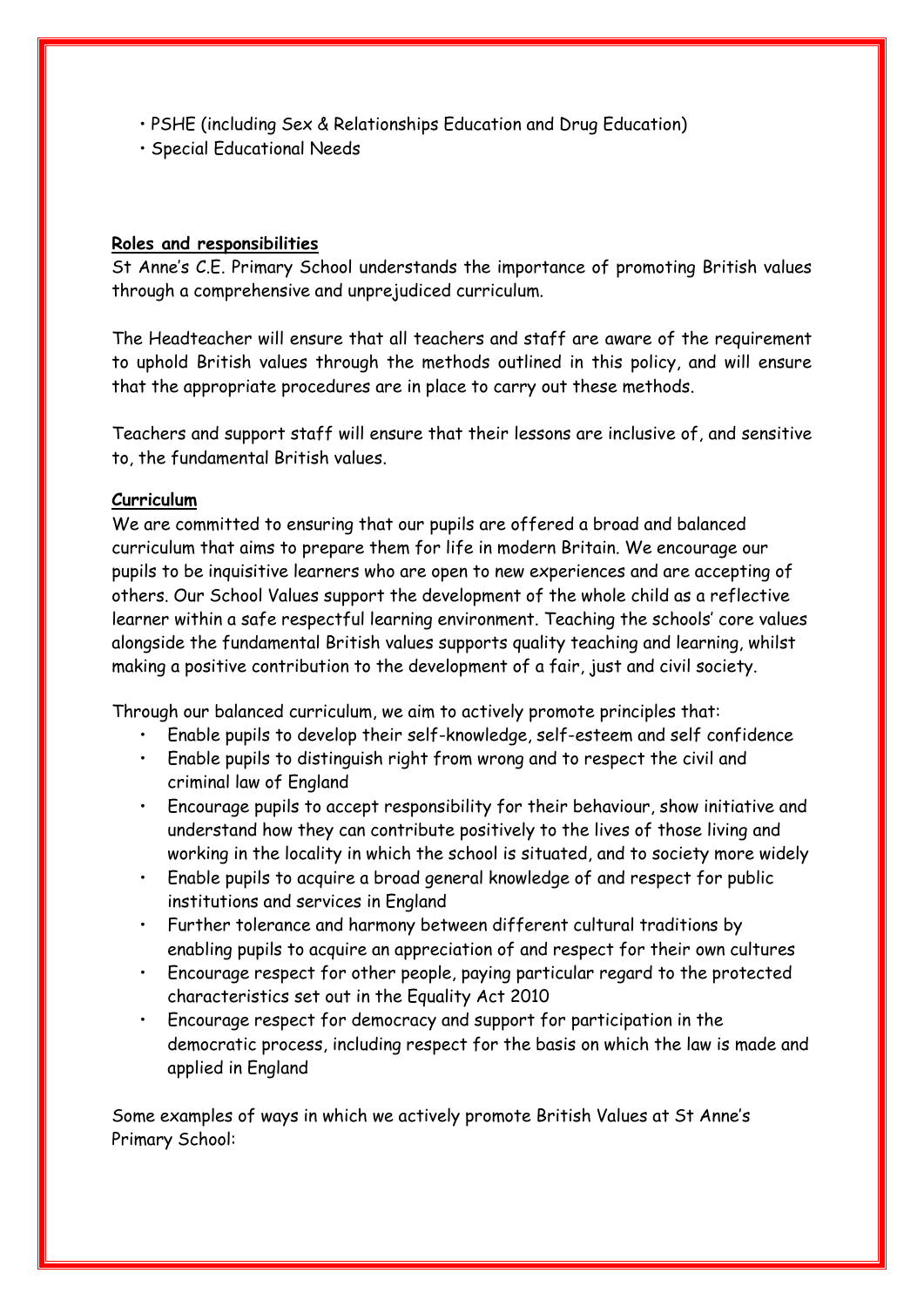- PSHE (including Sex & Relationships Education and Drug Education)
- Special Educational Needs

#### **Roles and responsibilities**

St Anne's C.E. Primary School understands the importance of promoting British values through a comprehensive and unprejudiced curriculum.

The Headteacher will ensure that all teachers and staff are aware of the requirement to uphold British values through the methods outlined in this policy, and will ensure that the appropriate procedures are in place to carry out these methods.

Teachers and support staff will ensure that their lessons are inclusive of, and sensitive to, the fundamental British values.

### **Curriculum**

We are committed to ensuring that our pupils are offered a broad and balanced curriculum that aims to prepare them for life in modern Britain. We encourage our pupils to be inquisitive learners who are open to new experiences and are accepting of others. Our School Values support the development of the whole child as a reflective learner within a safe respectful learning environment. Teaching the schools' core values alongside the fundamental British values supports quality teaching and learning, whilst making a positive contribution to the development of a fair, just and civil society.

Through our balanced curriculum, we aim to actively promote principles that:

- Enable pupils to develop their self-knowledge, self-esteem and self confidence
- Enable pupils to distinguish right from wrong and to respect the civil and criminal law of England
- Encourage pupils to accept responsibility for their behaviour, show initiative and understand how they can contribute positively to the lives of those living and working in the locality in which the school is situated, and to society more widely
- Enable pupils to acquire a broad general knowledge of and respect for public institutions and services in England
- Further tolerance and harmony between different cultural traditions by enabling pupils to acquire an appreciation of and respect for their own cultures
- Encourage respect for other people, paying particular regard to the protected characteristics set out in the Equality Act 2010
- Encourage respect for democracy and support for participation in the democratic process, including respect for the basis on which the law is made and applied in England

Some examples of ways in which we actively promote British Values at St Anne's Primary School: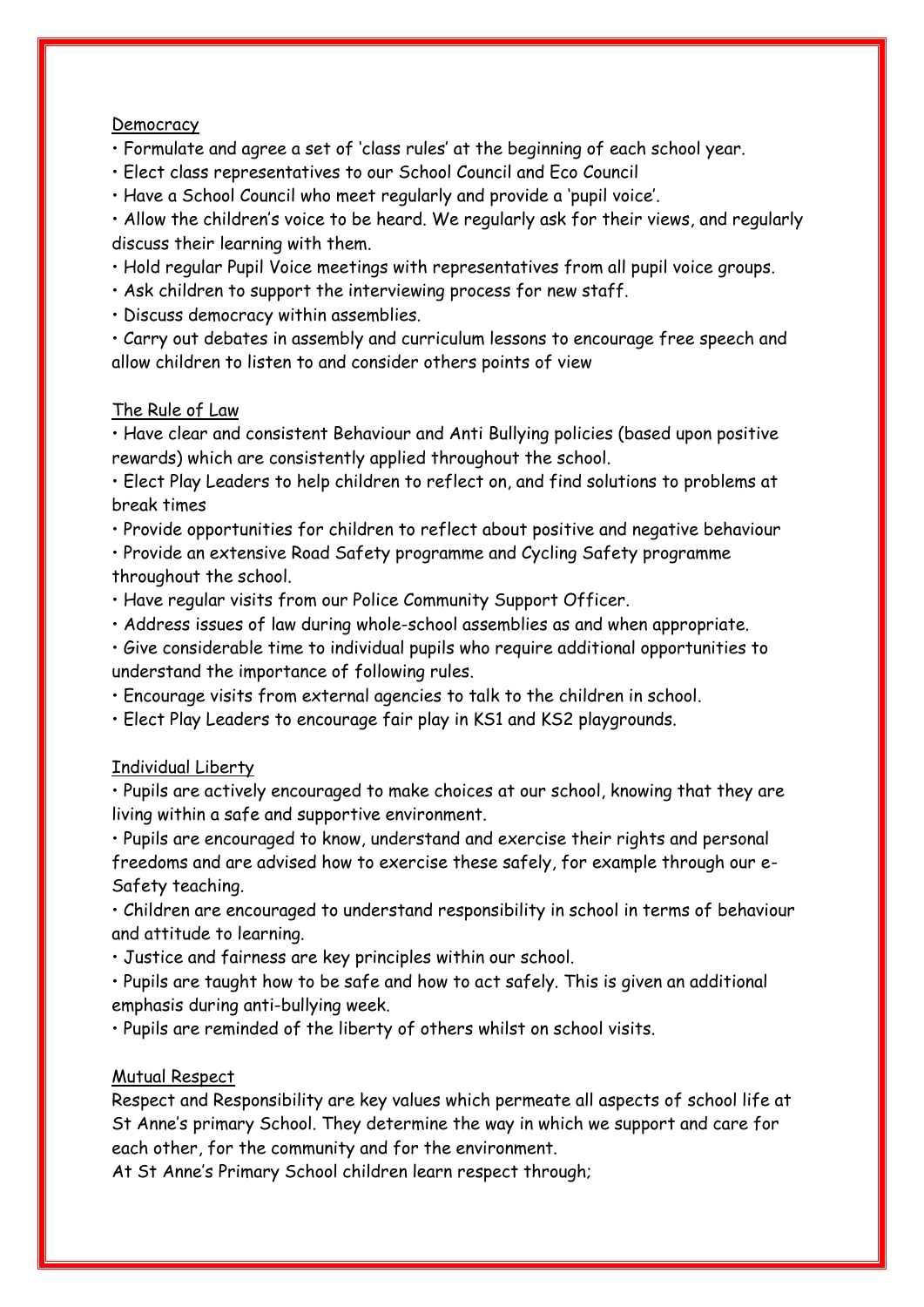#### Democracy

- Formulate and agree a set of 'class rules' at the beginning of each school year.
- Elect class representatives to our School Council and Eco Council
- Have a School Council who meet regularly and provide a 'pupil voice'.

• Allow the children's voice to be heard. We regularly ask for their views, and regularly discuss their learning with them.

- Hold regular Pupil Voice meetings with representatives from all pupil voice groups.
- Ask children to support the interviewing process for new staff.
- Discuss democracy within assemblies.

• Carry out debates in assembly and curriculum lessons to encourage free speech and allow children to listen to and consider others points of view

## The Rule of Law

• Have clear and consistent Behaviour and Anti Bullying policies (based upon positive rewards) which are consistently applied throughout the school.

• Elect Play Leaders to help children to reflect on, and find solutions to problems at break times

• Provide opportunities for children to reflect about positive and negative behaviour

• Provide an extensive Road Safety programme and Cycling Safety programme throughout the school.

- Have regular visits from our Police Community Support Officer.
- Address issues of law during whole-school assemblies as and when appropriate.

• Give considerable time to individual pupils who require additional opportunities to understand the importance of following rules.

• Encourage visits from external agencies to talk to the children in school.

• Elect Play Leaders to encourage fair play in KS1 and KS2 playgrounds.

#### Individual Liberty

• Pupils are actively encouraged to make choices at our school, knowing that they are living within a safe and supportive environment.

• Pupils are encouraged to know, understand and exercise their rights and personal freedoms and are advised how to exercise these safely, for example through our e-Safety teaching.

• Children are encouraged to understand responsibility in school in terms of behaviour and attitude to learning.

• Justice and fairness are key principles within our school.

• Pupils are taught how to be safe and how to act safely. This is given an additional emphasis during anti-bullying week.

• Pupils are reminded of the liberty of others whilst on school visits.

#### Mutual Respect

Respect and Responsibility are key values which permeate all aspects of school life at St Anne's primary School. They determine the way in which we support and care for each other, for the community and for the environment.

At St Anne's Primary School children learn respect through;